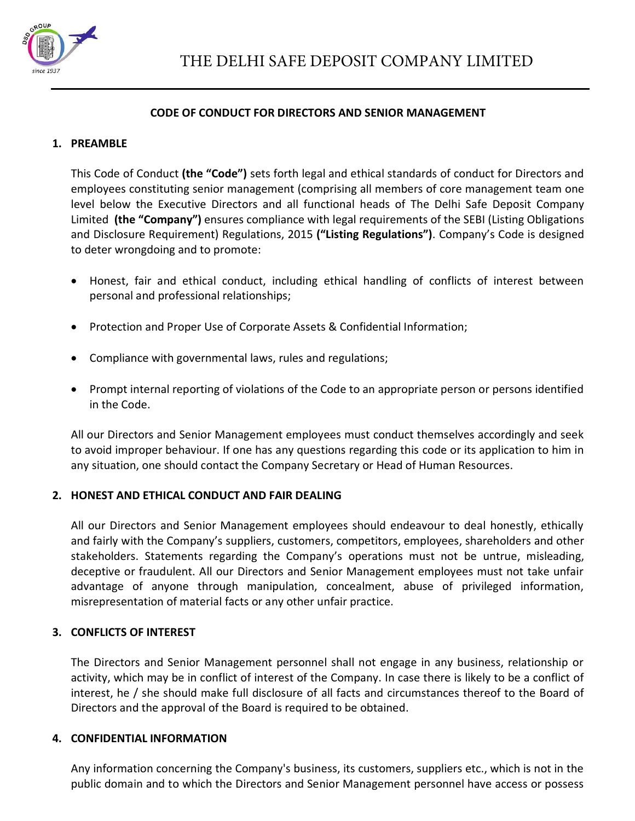

#### **CODE OF CONDUCT FOR DIRECTORS AND SENIOR MANAGEMENT**

#### **1. PREAMBLE**

This Code of Conduct **(the "Code")** sets forth legal and ethical standards of conduct for Directors and employees constituting senior management (comprising all members of core management team one level below the Executive Directors and all functional heads of The Delhi Safe Deposit Company Limited **(the "Company")** ensures compliance with legal requirements of the SEBI (Listing Obligations and Disclosure Requirement) Regulations, 2015 **("Listing Regulations")**. Company's Code is designed to deter wrongdoing and to promote:

- Honest, fair and ethical conduct, including ethical handling of conflicts of interest between personal and professional relationships;
- Protection and Proper Use of Corporate Assets & Confidential Information;
- Compliance with governmental laws, rules and regulations;
- Prompt internal reporting of violations of the Code to an appropriate person or persons identified in the Code.

All our Directors and Senior Management employees must conduct themselves accordingly and seek to avoid improper behaviour. If one has any questions regarding this code or its application to him in any situation, one should contact the Company Secretary or Head of Human Resources.

## **2. HONEST AND ETHICAL CONDUCT AND FAIR DEALING**

All our Directors and Senior Management employees should endeavour to deal honestly, ethically and fairly with the Company's suppliers, customers, competitors, employees, shareholders and other stakeholders. Statements regarding the Company's operations must not be untrue, misleading, deceptive or fraudulent. All our Directors and Senior Management employees must not take unfair advantage of anyone through manipulation, concealment, abuse of privileged information, misrepresentation of material facts or any other unfair practice.

## **3. CONFLICTS OF INTEREST**

The Directors and Senior Management personnel shall not engage in any business, relationship or activity, which may be in conflict of interest of the Company. In case there is likely to be a conflict of interest, he / she should make full disclosure of all facts and circumstances thereof to the Board of Directors and the approval of the Board is required to be obtained.

#### **4. CONFIDENTIAL INFORMATION**

Any information concerning the Company's business, its customers, suppliers etc., which is not in the public domain and to which the Directors and Senior Management personnel have access or possess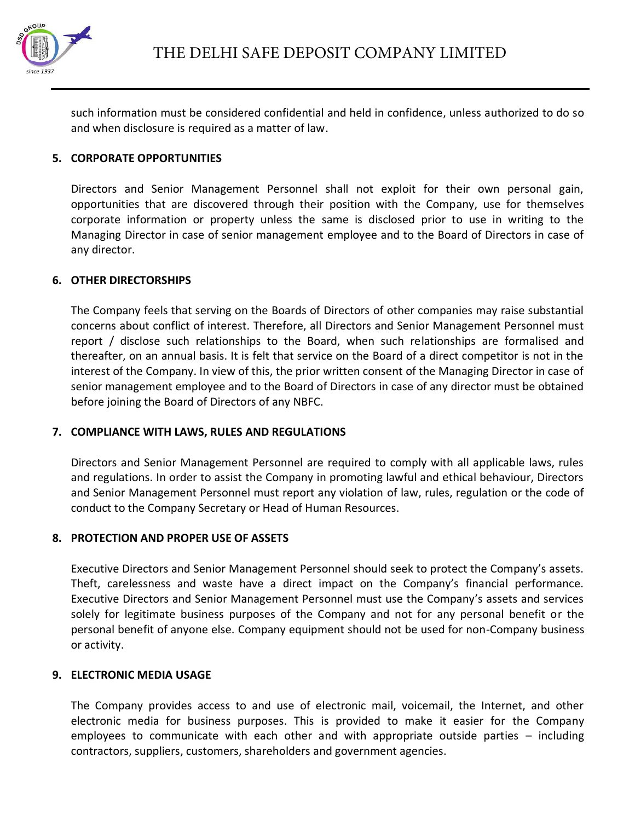

such information must be considered confidential and held in confidence, unless authorized to do so and when disclosure is required as a matter of law.

## **5. CORPORATE OPPORTUNITIES**

Directors and Senior Management Personnel shall not exploit for their own personal gain, opportunities that are discovered through their position with the Company, use for themselves corporate information or property unless the same is disclosed prior to use in writing to the Managing Director in case of senior management employee and to the Board of Directors in case of any director.

## **6. OTHER DIRECTORSHIPS**

The Company feels that serving on the Boards of Directors of other companies may raise substantial concerns about conflict of interest. Therefore, all Directors and Senior Management Personnel must report / disclose such relationships to the Board, when such relationships are formalised and thereafter, on an annual basis. It is felt that service on the Board of a direct competitor is not in the interest of the Company. In view of this, the prior written consent of the Managing Director in case of senior management employee and to the Board of Directors in case of any director must be obtained before joining the Board of Directors of any NBFC.

## **7. COMPLIANCE WITH LAWS, RULES AND REGULATIONS**

Directors and Senior Management Personnel are required to comply with all applicable laws, rules and regulations. In order to assist the Company in promoting lawful and ethical behaviour, Directors and Senior Management Personnel must report any violation of law, rules, regulation or the code of conduct to the Company Secretary or Head of Human Resources.

## **8. PROTECTION AND PROPER USE OF ASSETS**

Executive Directors and Senior Management Personnel should seek to protect the Company's assets. Theft, carelessness and waste have a direct impact on the Company's financial performance. Executive Directors and Senior Management Personnel must use the Company's assets and services solely for legitimate business purposes of the Company and not for any personal benefit or the personal benefit of anyone else. Company equipment should not be used for non-Company business or activity.

## **9. ELECTRONIC MEDIA USAGE**

The Company provides access to and use of electronic mail, voicemail, the Internet, and other electronic media for business purposes. This is provided to make it easier for the Company employees to communicate with each other and with appropriate outside parties – including contractors, suppliers, customers, shareholders and government agencies.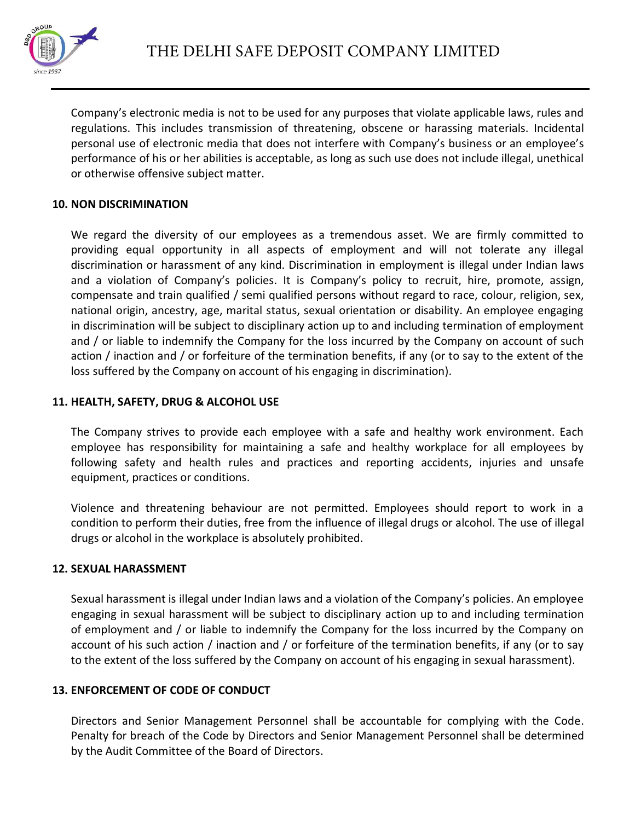

Company's electronic media is not to be used for any purposes that violate applicable laws, rules and regulations. This includes transmission of threatening, obscene or harassing materials. Incidental personal use of electronic media that does not interfere with Company's business or an employee's performance of his or her abilities is acceptable, as long as such use does not include illegal, unethical or otherwise offensive subject matter.

# **10. NON DISCRIMINATION**

We regard the diversity of our employees as a tremendous asset. We are firmly committed to providing equal opportunity in all aspects of employment and will not tolerate any illegal discrimination or harassment of any kind. Discrimination in employment is illegal under Indian laws and a violation of Company's policies. It is Company's policy to recruit, hire, promote, assign, compensate and train qualified / semi qualified persons without regard to race, colour, religion, sex, national origin, ancestry, age, marital status, sexual orientation or disability. An employee engaging in discrimination will be subject to disciplinary action up to and including termination of employment and / or liable to indemnify the Company for the loss incurred by the Company on account of such action / inaction and / or forfeiture of the termination benefits, if any (or to say to the extent of the loss suffered by the Company on account of his engaging in discrimination).

# **11. HEALTH, SAFETY, DRUG & ALCOHOL USE**

The Company strives to provide each employee with a safe and healthy work environment. Each employee has responsibility for maintaining a safe and healthy workplace for all employees by following safety and health rules and practices and reporting accidents, injuries and unsafe equipment, practices or conditions.

Violence and threatening behaviour are not permitted. Employees should report to work in a condition to perform their duties, free from the influence of illegal drugs or alcohol. The use of illegal drugs or alcohol in the workplace is absolutely prohibited.

## **12. SEXUAL HARASSMENT**

Sexual harassment is illegal under Indian laws and a violation of the Company's policies. An employee engaging in sexual harassment will be subject to disciplinary action up to and including termination of employment and / or liable to indemnify the Company for the loss incurred by the Company on account of his such action / inaction and / or forfeiture of the termination benefits, if any (or to say to the extent of the loss suffered by the Company on account of his engaging in sexual harassment).

# **13. ENFORCEMENT OF CODE OF CONDUCT**

Directors and Senior Management Personnel shall be accountable for complying with the Code. Penalty for breach of the Code by Directors and Senior Management Personnel shall be determined by the Audit Committee of the Board of Directors.